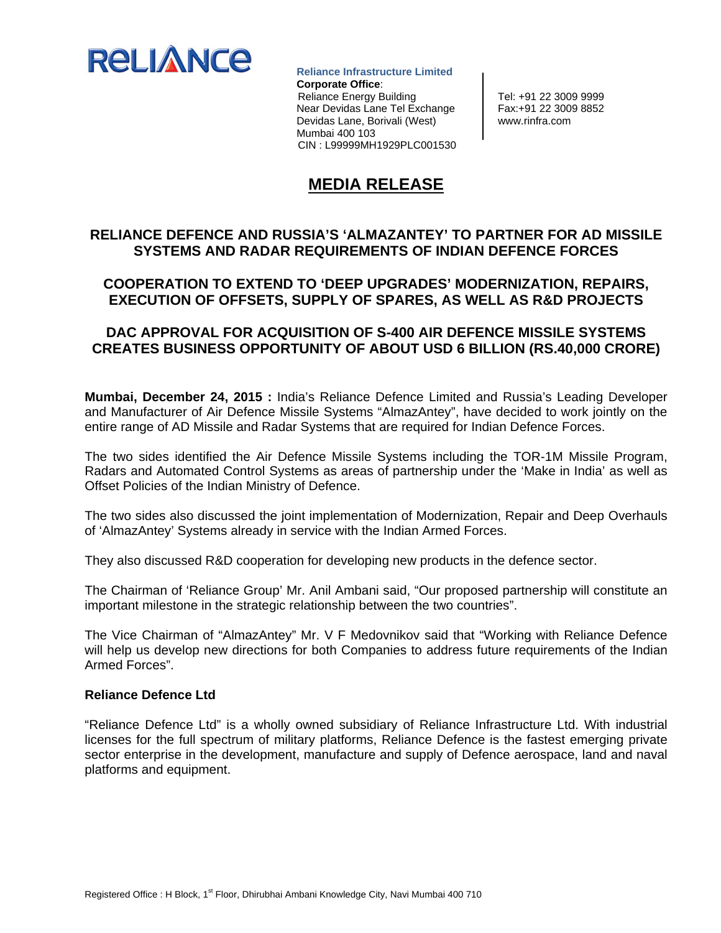

 **Reliance Infrastructure Limited Corporate Office**: Reliance Energy Building Tel: +91 22 3009 9999 Near Devidas Lane Tel Exchange | Fax:+91 22 3009 8852 Devidas Lane, Borivali (West) | www.rinfra.com Mumbai 400 103 CIN : L99999MH1929PLC001530

# **MEDIA RELEASE**

#### **RELIANCE DEFENCE AND RUSSIA'S 'ALMAZANTEY' TO PARTNER FOR AD MISSILE SYSTEMS AND RADAR REQUIREMENTS OF INDIAN DEFENCE FORCES**

## **COOPERATION TO EXTEND TO 'DEEP UPGRADES' MODERNIZATION, REPAIRS, EXECUTION OF OFFSETS, SUPPLY OF SPARES, AS WELL AS R&D PROJECTS**

## **DAC APPROVAL FOR ACQUISITION OF S-400 AIR DEFENCE MISSILE SYSTEMS CREATES BUSINESS OPPORTUNITY OF ABOUT USD 6 BILLION (RS.40,000 CRORE)**

**Mumbai, December 24, 2015 :** India's Reliance Defence Limited and Russia's Leading Developer and Manufacturer of Air Defence Missile Systems "AlmazAntey", have decided to work jointly on the entire range of AD Missile and Radar Systems that are required for Indian Defence Forces.

The two sides identified the Air Defence Missile Systems including the TOR-1M Missile Program, Radars and Automated Control Systems as areas of partnership under the 'Make in India' as well as Offset Policies of the Indian Ministry of Defence.

The two sides also discussed the joint implementation of Modernization, Repair and Deep Overhauls of 'AlmazAntey' Systems already in service with the Indian Armed Forces.

They also discussed R&D cooperation for developing new products in the defence sector.

The Chairman of 'Reliance Group' Mr. Anil Ambani said, "Our proposed partnership will constitute an important milestone in the strategic relationship between the two countries".

The Vice Chairman of "AlmazAntey" Mr. V F Medovnikov said that "Working with Reliance Defence will help us develop new directions for both Companies to address future requirements of the Indian Armed Forces".

#### **Reliance Defence Ltd**

"Reliance Defence Ltd" is a wholly owned subsidiary of Reliance Infrastructure Ltd. With industrial licenses for the full spectrum of military platforms, Reliance Defence is the fastest emerging private sector enterprise in the development, manufacture and supply of Defence aerospace, land and naval platforms and equipment.